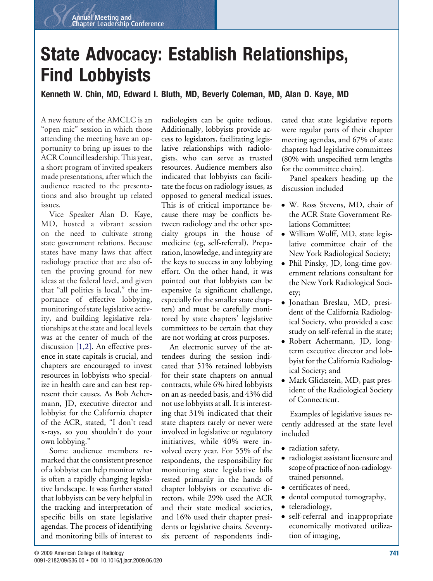## **State Advocacy: Establish Relationships, Find Lobbyists**

## **Kenneth W. Chin, MD, Edward I. Bluth, MD, Beverly Coleman, MD, Alan D. Kaye, MD**

A new feature of the AMCLC is an "open mic" session in which those attending the meeting have an opportunity to bring up issues to the ACR Council leadership. This year, a short program of invited speakers made presentations, after which the audience reacted to the presentations and also brought up related issues.

Vice Speaker Alan D. Kaye, MD, hosted a vibrant session on the need to cultivate strong state government relations. Because states have many laws that affect radiology practice that are also often the proving ground for new ideas at the federal level, and given that "all politics is local," the importance of effective lobbying, monitoring of state legislative activity, and building legislative relationships at the state and local levels was at the center of much of the discussion [\[1,2\].](#page-2-0) An effective presence in state capitals is crucial, and chapters are encouraged to invest resources in lobbyists who specialize in health care and can best represent their causes. As Bob Achermann, JD, executive director and lobbyist for the California chapter of the ACR, stated, "I don't read x-rays, so you shouldn't do your own lobbying."

Some audience members remarked that the consistent presence of a lobbyist can help monitor what is often a rapidly changing legislative landscape. It was further stated that lobbyists can be very helpful in the tracking and interpretation of specific bills on state legislative agendas. The process of identifying and monitoring bills of interest to

radiologists can be quite tedious. Additionally, lobbyists provide access to legislators, facilitating legislative relationships with radiologists, who can serve as trusted resources. Audience members also indicated that lobbyists can facilitate the focus on radiology issues, as opposed to general medical issues. This is of critical importance because there may be conflicts between radiology and the other specialty groups in the house of medicine (eg, self-referral). Preparation, knowledge, and integrity are the keys to success in any lobbying effort. On the other hand, it was pointed out that lobbyists can be expensive (a significant challenge, especially for the smaller state chapters) and must be carefully monitored by state chapters' legislative committees to be certain that they are not working at cross purposes.

An electronic survey of the attendees during the session indicated that 51% retained lobbyists for their state chapters on annual contracts, while 6% hired lobbyists on an as-needed basis, and 43% did not use lobbyists at all. It is interesting that 31% indicated that their state chapters rarely or never were involved in legislative or regulatory initiatives, while 40% were involved every year. For 55% of the respondents, the responsibility for monitoring state legislative bills rested primarily in the hands of chapter lobbyists or executive directors, while 29% used the ACR and their state medical societies, and 16% used their chapter presidents or legislative chairs. Seventysix percent of respondents indicated that state legislative reports were regular parts of their chapter meeting agendas, and 67% of state chapters had legislative committees (80% with unspecified term lengths for the committee chairs).

Panel speakers heading up the discussion included

- W. Ross Stevens, MD, chair of the ACR State Government Relations Committee;
- William Wolff, MD, state legislative committee chair of the New York Radiological Society;
- Phil Pinsky, JD, long-time government relations consultant for the New York Radiological Society;
- Jonathan Breslau, MD, president of the California Radiological Society, who provided a case study on self-referral in the state;
- Robert Achermann, JD, longterm executive director and lobbyist for the California Radiological Society; and
- Mark Glickstein, MD, past president of the Radiological Society of Connecticut.

Examples of legislative issues recently addressed at the state level included

- radiation safety,
- radiologist assistant licensure and scope of practice of non-radiologytrained personnel,
- certificates of need,
- dental computed tomography,
- teleradiology,
- self-referral and inappropriate economically motivated utilization of imaging,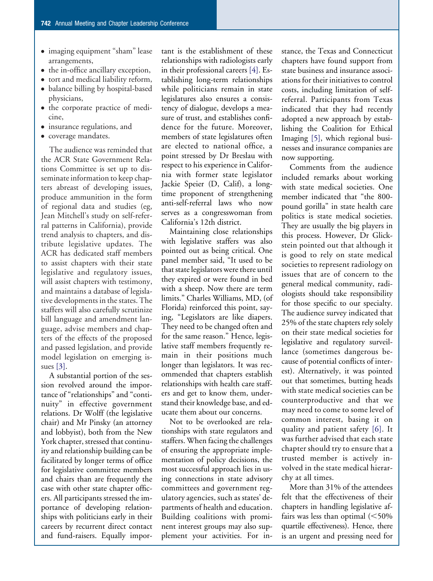- imaging equipment "sham" lease arrangements,
- the in-office ancillary exception,
- tort and medical liability reform,
- balance billing by hospital-based physicians,
- the corporate practice of medicine,
- insurance regulations, and
- coverage mandates.

The audience was reminded that the ACR State Government Relations Committee is set up to disseminate information to keep chapters abreast of developing issues, produce ammunition in the form of regional data and studies (eg, Jean Mitchell's study on self-referral patterns in California), provide trend analysis to chapters, and distribute legislative updates. The ACR has dedicated staff members to assist chapters with their state legislative and regulatory issues, will assist chapters with testimony, and maintains a database of legislative developments in the states. The staffers will also carefully scrutinize bill language and amendment language, advise members and chapters of the effects of the proposed and passed legislation, and provide model legislation on emerging issues [\[3\].](#page-2-0)

A substantial portion of the session revolved around the importance of "relationships" and "continuity" in effective government relations. Dr Wolff (the legislative chair) and Mr Pinsky (an attorney and lobbyist), both from the New York chapter, stressed that continuity and relationship building can be facilitated by longer terms of office for legislative committee members and chairs than are frequently the case with other state chapter officers. All participants stressed the importance of developing relationships with politicians early in their careers by recurrent direct contact and fund-raisers. Equally impor-

tant is the establishment of these relationships with radiologists early in their professional careers [\[4\].](#page-2-0) Establishing long-term relationships while politicians remain in state legislatures also ensures a consistency of dialogue, develops a measure of trust, and establishes confidence for the future. Moreover, members of state legislatures often are elected to national office, a point stressed by Dr Breslau with respect to his experience in California with former state legislator Jackie Speier (D, Calif), a longtime proponent of strengthening anti-self-referral laws who now serves as a congresswoman from California's 12th district.

Maintaining close relationships with legislative staffers was also pointed out as being critical. One panel member said, "It used to be that state legislators were there until they expired or were found in bed with a sheep. Now there are term limits." Charles Williams, MD, (of Florida) reinforced this point, saying, "Legislators are like diapers. They need to be changed often and for the same reason." Hence, legislative staff members frequently remain in their positions much longer than legislators. It was recommended that chapters establish relationships with health care staffers and get to know them, understand their knowledge base, and educate them about our concerns.

Not to be overlooked are relationships with state regulators and staffers. When facing the challenges of ensuring the appropriate implementation of policy decisions, the most successful approach lies in using connections in state advisory committees and government regulatory agencies, such as states' departments of health and education. Building coalitions with prominent interest groups may also supplement your activities. For instance, the Texas and Connecticut chapters have found support from state business and insurance associations for their initiatives to control costs, including limitation of selfreferral. Participants from Texas indicated that they had recently adopted a new approach by establishing the Coalition for Ethical Imaging [\[5\],](#page-2-0) which regional businesses and insurance companies are now supporting.

Comments from the audience included remarks about working with state medical societies. One member indicated that "the 800 pound gorilla" in state health care politics is state medical societies. They are usually the big players in this process. However, Dr Glickstein pointed out that although it is good to rely on state medical societies to represent radiology on issues that are of concern to the general medical community, radiologists should take responsibility for those specific to our specialty. The audience survey indicated that 25% of the state chapters rely solely on their state medical societies for legislative and regulatory surveillance (sometimes dangerous because of potential conflicts of interest). Alternatively, it was pointed out that sometimes, butting heads with state medical societies can be counterproductive and that we may need to come to some level of common interest, basing it on quality and patient safety [\[6\].](#page-2-0) It was further advised that each state chapter should try to ensure that a trusted member is actively involved in the state medical hierarchy at all times.

More than 31% of the attendees felt that the effectiveness of their chapters in handling legislative affairs was less than optimal  $(<50\%$ quartile effectiveness). Hence, there is an urgent and pressing need for